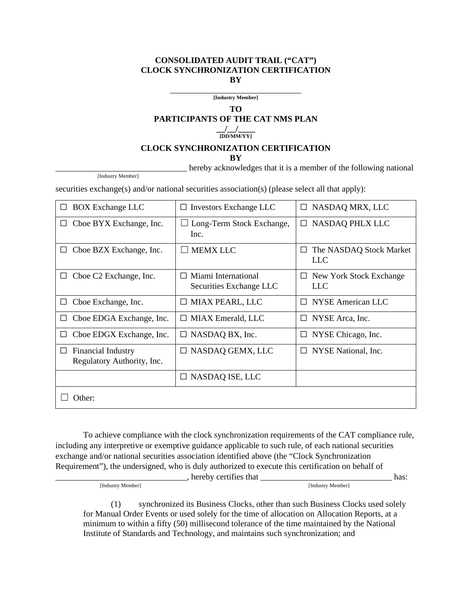## **CONSOLIDATED AUDIT TRAIL ("CAT") CLOCK SYNCHRONIZATION CERTIFICATION BY**

\_\_\_\_\_\_\_\_\_\_\_\_\_\_\_\_\_\_\_\_\_\_\_\_\_\_\_\_\_\_\_ **[Industry Member]**

**TO**

**PARTICIPANTS OF THE CAT NMS PLAN**

**\_\_/\_\_/\_\_\_\_ [DD/MM/YY]**

## **CLOCK SYNCHRONIZATION CERTIFICATION**

**BY**

hereby acknowledges that it is a member of the following national

[Industry Member]

securities exchange(s) and/or national securities association(s) (please select all that apply):

| <b>BOX Exchange LLC</b><br>$\Box$                            | $\Box$ Investors Exchange LLC                  | NASDAQ MRX, LLC<br>□                       |  |  |  |
|--------------------------------------------------------------|------------------------------------------------|--------------------------------------------|--|--|--|
| Cboe BYX Exchange, Inc.<br>⊔                                 | Long-Term Stock Exchange,<br>Inc.              | NASDAQ PHLX LLC<br>$\Box$                  |  |  |  |
| Cboe BZX Exchange, Inc.<br>$\Box$                            | <b>MEMX LLC</b>                                | The NASDAQ Stock Market<br>□<br><b>LLC</b> |  |  |  |
| Cboe C <sub>2</sub> Exchange, Inc.<br>$\Box$                 | Miami International<br>Securities Exchange LLC | New York Stock Exchange<br>⊔<br><b>LLC</b> |  |  |  |
| Cboe Exchange, Inc.<br>$\Box$                                | $\Box$ MIAX PEARL, LLC                         | <b>NYSE American LLC</b><br>П              |  |  |  |
| Choe EDGA Exchange, Inc.<br>⊔                                | $\Box$ MIAX Emerald, LLC                       | NYSE Arca, Inc.<br>$\Box$                  |  |  |  |
| Cboe EDGX Exchange, Inc.<br>$\Box$                           | $\Box$ NASDAQ BX, Inc.                         | NYSE Chicago, Inc.<br>$\Box$               |  |  |  |
| <b>Financial Industry</b><br>⊔<br>Regulatory Authority, Inc. | NASDAQ GEMX, LLC                               | NYSE National, Inc.<br>$\Box$              |  |  |  |
|                                                              | $\Box$ NASDAQ ISE, LLC                         |                                            |  |  |  |
| Other:                                                       |                                                |                                            |  |  |  |

To achieve compliance with the clock synchronization requirements of the CAT compliance rule, including any interpretive or exemptive guidance applicable to such rule, of each national securities exchange and/or national securities association identified above (the "Clock Synchronization Requirement"), the undersigned, who is duly authorized to execute this certification on behalf of

The Undustry Member 1 and the control of the control of the control of the control of the control of the control of the control of the control of the control of the control of the control of the control of the control of t

(1) synchronized its Business Clocks, other than such Business Clocks used solely for Manual Order Events or used solely for the time of allocation on Allocation Reports, at a minimum to within a fifty (50) millisecond tolerance of the time maintained by the National Institute of Standards and Technology, and maintains such synchronization; and